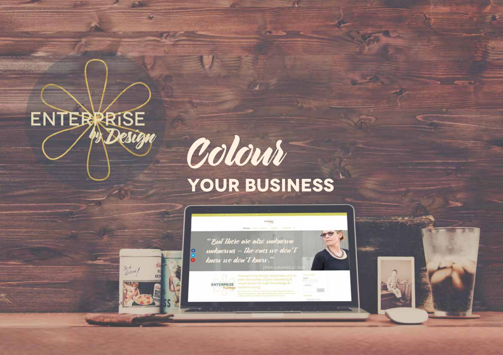

**1**

# Colour **your bUSINESS**

76

"But there are also unknown unknewns - The enes we den't know we don't know.

ENTERPRISE

 $\bullet$ 

 $\frac{g_b - h}{f_{\text{in}} \text{ term}}$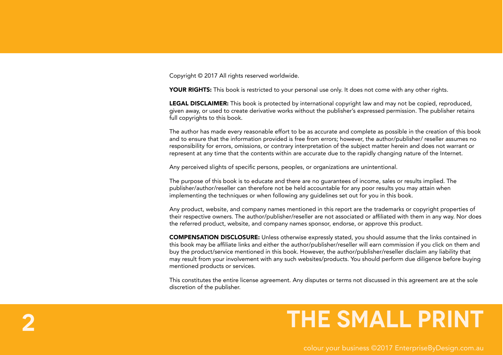Copyright © 2017 All rights reserved worldwide.

**2**

YOUR RIGHTS: This book is restricted to your personal use only. It does not come with any other rights.

LEGAL DISCLAIMER: This book is protected by international copyright law and may not be copied, reproduced, given away, or used to create derivative works without the publisher's expressed permission. The publisher retains full copyrights to this book.

The author has made every reasonable effort to be as accurate and complete as possible in the creation of this book and to ensure that the information provided is free from errors; however, the author/publisher/ reseller assumes no responsibility for errors, omissions, or contrary interpretation of the subject matter herein and does not warrant or represent at any time that the contents within are accurate due to the rapidly changing nature of the Internet.

Any perceived slights of specific persons, peoples, or organizations are unintentional.

The purpose of this book is to educate and there are no guarantees of income, sales or results implied. The publisher/author/reseller can therefore not be held accountable for any poor results you may attain when implementing the techniques or when following any guidelines set out for you in this book.

Any product, website, and company names mentioned in this report are the trademarks or copyright properties of their respective owners. The author/publisher/reseller are not associated or affiliated with them in any way. Nor does the referred product, website, and company names sponsor, endorse, or approve this product.

COMPENSATION DISCLOSURE: Unless otherwise expressly stated, you should assume that the links contained in this book may be affiliate links and either the author/publisher/reseller will earn commission if you click on them and buy the product/service mentioned in this book. However, the author/publisher/reseller disclaim any liability that may result from your involvement with any such websites/products. You should perform due diligence before buying mentioned products or services.

This constitutes the entire license agreement. Any disputes or terms not discussed in this agreement are at the sole discretion of the publisher.

### **the small print**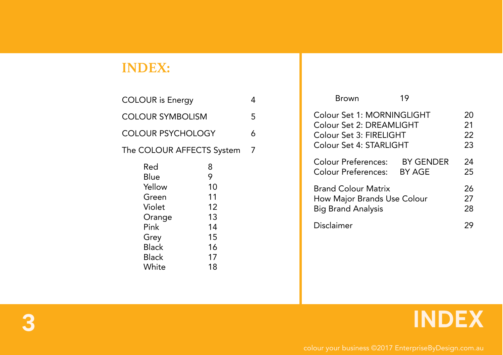#### **INDEX:**

| <b>COLOUR</b> is Energy   |    |  |  |  |
|---------------------------|----|--|--|--|
| <b>COLOUR SYMBOLISM</b>   |    |  |  |  |
| <b>COLOUR PSYCHOLOGY</b>  |    |  |  |  |
| The COLOUR AFFECTS System |    |  |  |  |
| Red                       | 8  |  |  |  |
| <b>Blue</b>               | 9  |  |  |  |
| Yellow                    | 10 |  |  |  |
| Green                     | 11 |  |  |  |
| Violet                    | 12 |  |  |  |
| Orange                    | 13 |  |  |  |
| Pink                      | 14 |  |  |  |
| Grey                      | 15 |  |  |  |
| <b>Black</b>              | 16 |  |  |  |
| <b>Black</b>              | 17 |  |  |  |
| White                     | 18 |  |  |  |
|                           |    |  |  |  |

| Brown                                                                                                        | 19                         |                      |
|--------------------------------------------------------------------------------------------------------------|----------------------------|----------------------|
| Colour Set 1: MORNINGLIGHT<br>Colour Set 2: DREAMLIGHT<br>Colour Set 3: FIRELIGHT<br>Colour Set 4: STARLIGHT |                            | 20<br>21<br>22<br>23 |
| <b>Colour Preferences:</b><br>Colour Preferences:                                                            | <b>BY GENDER</b><br>BY AGE | 24<br>25             |
| <b>Brand Colour Matrix</b><br><b>How Major Brands Use Colour</b><br><b>Big Brand Analysis</b>                |                            | 26<br>27<br>28       |
| Disclaimer                                                                                                   |                            |                      |

### **3 INDEX**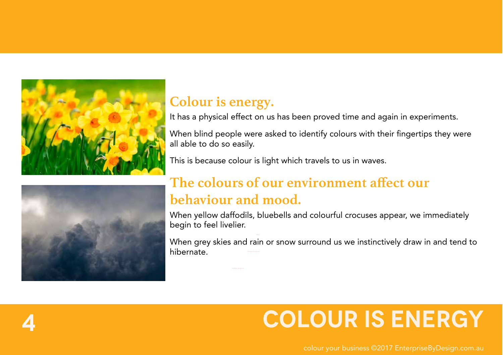



#### **Colour is energy.**

It has a physical effect on us has been proved time and again in experiments.

When blind people were asked to identify colours with their fingertips they were all able to do so easily.

This is because colour is light which travels to us in waves.

### **The colours of our environment affect our behaviour and mood.**

When yellow daffodils, bluebells and colourful crocuses appear, we immediately begin to feel livelier.

When grey skies and rain or snow surround us we instinctively draw in and tend to hibernate.

### **4 COLOUR IS ENERGY**

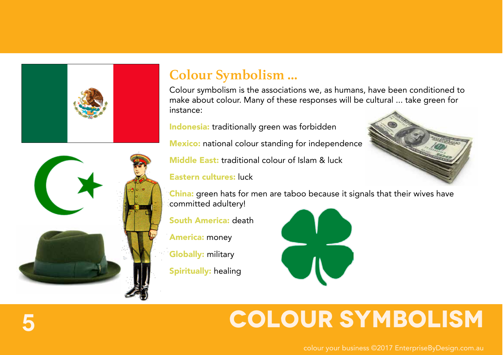



#### **Colour Symbolism ...**

Colour symbolism is the associations we, as humans, have been conditioned to make about colour. Many of these responses will be cultural ... take green for instance:

Indonesia: traditionally green was forbidden

**Mexico:** national colour standing for independence

Middle East: traditional colour of Islam & luck

Eastern cultures: luck

China: green hats for men are taboo because it signals that their wives have committed adultery!

South America: death

America: money

**Globally: military** 

Spiritually: healing



### **5 COLOUR SYMBOLISM**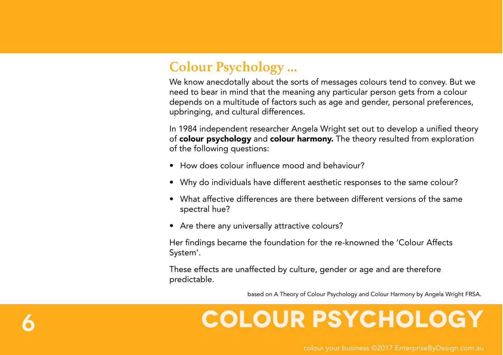#### **Colour Psychology ...**

We know anecdotally about the sorts of messages colours tend to convey. But we need to bear in mind that the meaning any particular person gets from a colour depends on a multitude of factors such as age and gender, personal preferences, upbringing, and cultural differences.

In 1984 independent researcher Angela Wright set out to develop a unified theory of colour psychology and colour harmony. The theory resulted from exploration of the following questions:

- How does colour influence mood and behaviour?
- Why do individuals have different aesthetic responses to the same colour?
- What affective differences are there between different versions of the same spectral hue?
- Are there any universally attractive colours?

Her findings became the foundation for the re-knowned the 'Colour Affects System'.

These effects are unaffected by culture, gender or age and are therefore predictable.

based on A Theory of Colour Psychology and Colour Harmony by Angela Wright FRSA.

### **6 COLOUR PSYCHOLOGY**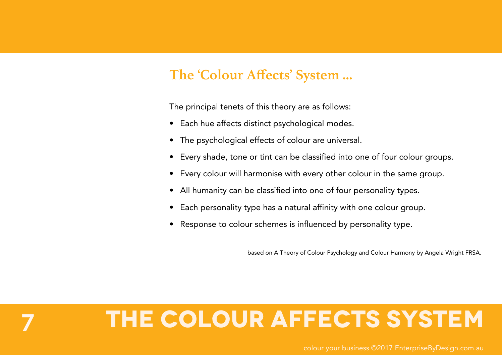#### **The 'Colour Affects' System ...**

The principal tenets of this theory are as follows:

- Each hue affects distinct psychological modes.
- The psychological effects of colour are universal.
- Every shade, tone or tint can be classified into one of four colour groups.
- Every colour will harmonise with every other colour in the same group.
- All humanity can be classified into one of four personality types.
- Each personality type has a natural affinity with one colour group.
- Response to colour schemes is influenced by personality type.

based on A Theory of Colour Psychology and Colour Harmony by Angela Wright FRSA.

### **7 THE COLOUR Affects System**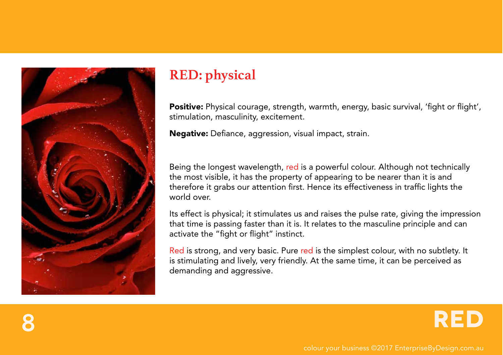

### **RED: physical**

Positive: Physical courage, strength, warmth, energy, basic survival, 'fight or flight', stimulation, masculinity, excitement.

Negative: Defiance, aggression, visual impact, strain.

Being the longest wavelength, red is a powerful colour. Although not technically the most visible, it has the property of appearing to be nearer than it is and therefore it grabs our attention first. Hence its effectiveness in traffic lights the world over.

Its effect is physical; it stimulates us and raises the pulse rate, giving the impression that time is passing faster than it is. It relates to the masculine principle and can activate the "fight or flight" instinct.

Red is strong, and very basic. Pure red is the simplest colour, with no subtlety. It is stimulating and lively, very friendly. At the same time, it can be perceived as demanding and aggressive.

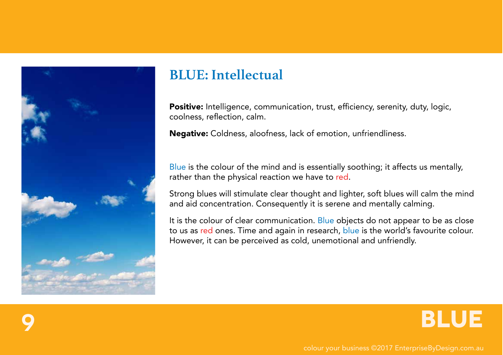

#### **BLUE: Intellectual**

Positive: Intelligence, communication, trust, efficiency, serenity, duty, logic, coolness, reflection, calm.

Negative: Coldness, aloofness, lack of emotion, unfriendliness.

Blue is the colour of the mind and is essentially soothing; it affects us mentally, rather than the physical reaction we have to red.

Strong blues will stimulate clear thought and lighter, soft blues will calm the mind and aid concentration. Consequently it is serene and mentally calming.

It is the colour of clear communication. Blue objects do not appear to be as close to us as red ones. Time and again in research, blue is the world's favourite colour. However, it can be perceived as cold, unemotional and unfriendly.

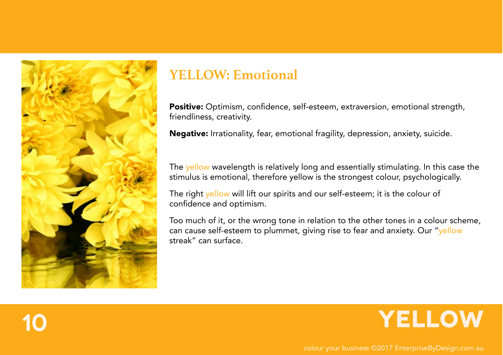

#### **YELLOW: Emotional**

Positive: Optimism, confidence, self-esteem, extraversion, emotional strength, friendliness, creativity.

Negative: Irrationality, fear, emotional fragility, depression, anxiety, suicide.

The yellow wavelength is relatively long and essentially stimulating. In this case the stimulus is emotional, therefore yellow is the strongest colour, psychologically.

The right yellow will lift our spirits and our self-esteem; it is the colour of confidence and optimism.

Too much of it, or the wrong tone in relation to the other tones in a colour scheme, can cause self-esteem to plummet, giving rise to fear and anxiety. Our "yellow streak" can surface.

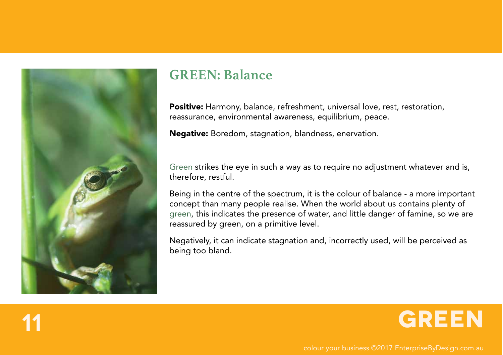

#### **GREEN: Balance**

Positive: Harmony, balance, refreshment, universal love, rest, restoration, reassurance, environmental awareness, equilibrium, peace.

Negative: Boredom, stagnation, blandness, enervation.

Green strikes the eye in such a way as to require no adjustment whatever and is, therefore, restful.

Being in the centre of the spectrum, it is the colour of balance - a more important concept than many people realise. When the world about us contains plenty of green, this indicates the presence of water, and little danger of famine, so we are reassured by green, on a primitive level.

Negatively, it can indicate stagnation and, incorrectly used, will be perceived as being too bland.

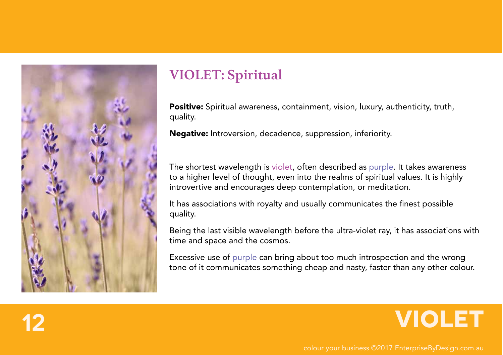

#### **VIOLET: Spiritual**

Positive: Spiritual awareness, containment, vision, luxury, authenticity, truth, quality.

Negative: Introversion, decadence, suppression, inferiority.

The shortest wavelength is violet, often described as purple. It takes awareness to a higher level of thought, even into the realms of spiritual values. It is highly introvertive and encourages deep contemplation, or meditation.

It has associations with royalty and usually communicates the finest possible quality.

Being the last visible wavelength before the ultra-violet ray, it has associations with time and space and the cosmos.

Excessive use of purple can bring about too much introspection and the wrong tone of it communicates something cheap and nasty, faster than any other colour.

### **12 VIOLET**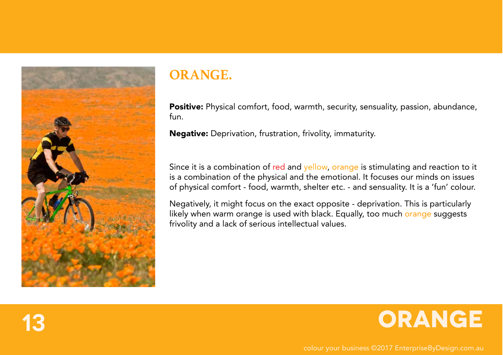

#### **ORANGE.**

Positive: Physical comfort, food, warmth, security, sensuality, passion, abundance, fun.

Negative: Deprivation, frustration, frivolity, immaturity.

Since it is a combination of red and yellow, orange is stimulating and reaction to it is a combination of the physical and the emotional. It focuses our minds on issues of physical comfort - food, warmth, shelter etc. - and sensuality. It is a 'fun' colour.

Negatively, it might focus on the exact opposite - deprivation. This is particularly likely when warm orange is used with black. Equally, too much orange suggests frivolity and a lack of serious intellectual values.

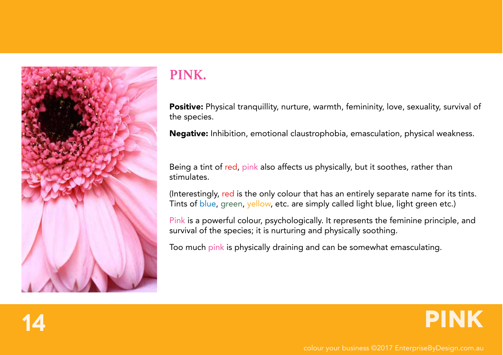

### **PINK.**

Positive: Physical tranquillity, nurture, warmth, femininity, love, sexuality, survival of the species.

Negative: Inhibition, emotional claustrophobia, emasculation, physical weakness.

Being a tint of red, pink also affects us physically, but it soothes, rather than stimulates.

(Interestingly, red is the only colour that has an entirely separate name for its tints. Tints of blue, green, yellow, etc. are simply called light blue, light green etc.)

Pink is a powerful colour, psychologically. It represents the feminine principle, and survival of the species; it is nurturing and physically soothing.

Too much pink is physically draining and can be somewhat emasculating.



**14 PINK**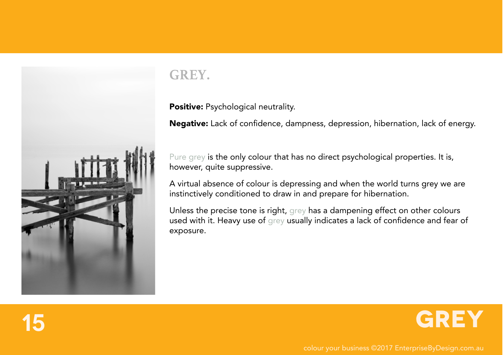

### **GREY.**

Positive: Psychological neutrality.

Negative: Lack of confidence, dampness, depression, hibernation, lack of energy.

Pure grey is the only colour that has no direct psychological properties. It is, however, quite suppressive.

A virtual absence of colour is depressing and when the world turns grey we are instinctively conditioned to draw in and prepare for hibernation.

Unless the precise tone is right, grey has a dampening effect on other colours used with it. Heavy use of grey usually indicates a lack of confidence and fear of exposure.

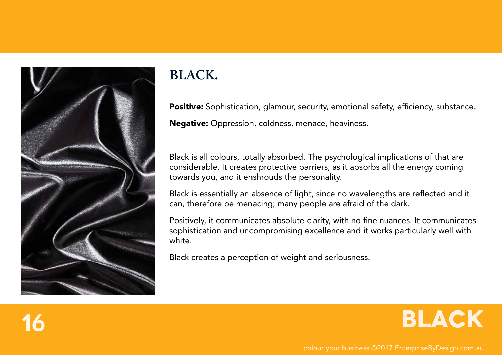

### **BLACK.**

Positive: Sophistication, glamour, security, emotional safety, efficiency, substance. Negative: Oppression, coldness, menace, heaviness.

Black is all colours, totally absorbed. The psychological implications of that are considerable. It creates protective barriers, as it absorbs all the energy coming towards you, and it enshrouds the personality.

Black is essentially an absence of light, since no wavelengths are reflected and it can, therefore be menacing; many people are afraid of the dark.

Positively, it communicates absolute clarity, with no fine nuances. It communicates sophistication and uncompromising excellence and it works particularly well with white.

Black creates a perception of weight and seriousness.

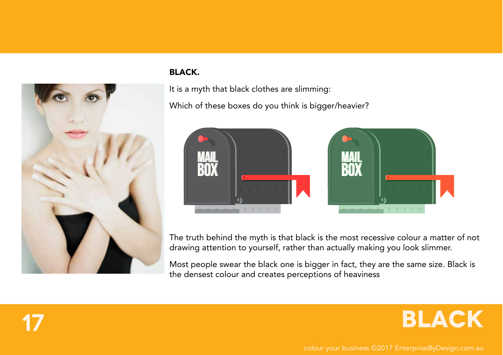

#### BLACK.

It is a myth that black clothes are slimming:

Which of these boxes do you think is bigger/heavier?



The truth behind the myth is that black is the most recessive colour a matter of not drawing attention to yourself, rather than actually making you look slimmer.

Most people swear the black one is bigger in fact, they are the same size. Black is the densest colour and creates perceptions of heaviness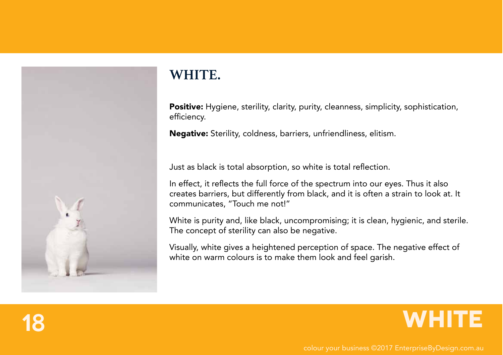

### **WHITE.**

Positive: Hygiene, sterility, clarity, purity, cleanness, simplicity, sophistication, efficiency.

Negative: Sterility, coldness, barriers, unfriendliness, elitism.

Just as black is total absorption, so white is total reflection.

In effect, it reflects the full force of the spectrum into our eyes. Thus it also creates barriers, but differently from black, and it is often a strain to look at. It communicates, "Touch me not!"

White is purity and, like black, uncompromising; it is clean, hygienic, and sterile. The concept of sterility can also be negative.

Visually, white gives a heightened perception of space. The negative effect of white on warm colours is to make them look and feel garish.

### **18 WHITE**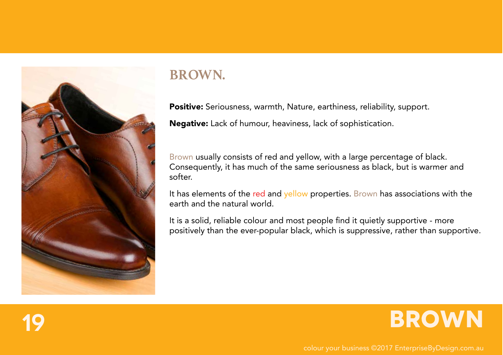

#### **BROWN.**

Positive: Seriousness, warmth, Nature, earthiness, reliability, support.

Negative: Lack of humour, heaviness, lack of sophistication.

Brown usually consists of red and yellow, with a large percentage of black. Consequently, it has much of the same seriousness as black, but is warmer and softer.

It has elements of the red and yellow properties. Brown has associations with the earth and the natural world.

It is a solid, reliable colour and most people find it quietly supportive - more positively than the ever-popular black, which is suppressive, rather than supportive.

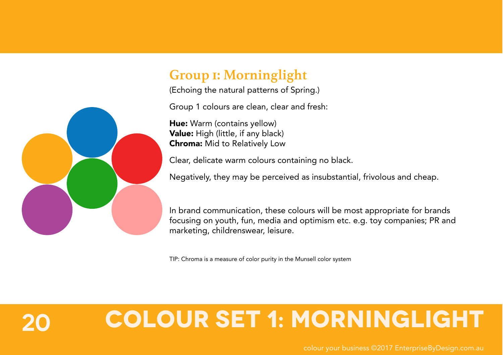#### **Group 1: Morninglight**

(Echoing the natural patterns of Spring.)

Group 1 colours are clean, clear and fresh:

Hue: Warm (contains yellow) Value: High (little, if any black) Chroma: Mid to Relatively Low

Clear, delicate warm colours containing no black.

Negatively, they may be perceived as insubstantial, frivolous and cheap.

In brand communication, these colours will be most appropriate for brands focusing on youth, fun, media and optimism etc. e.g. toy companies; PR and marketing, childrenswear, leisure.

TIP: Chroma is a measure of color purity in the Munsell color system

## **20 Colour Set 1: Morninglight**

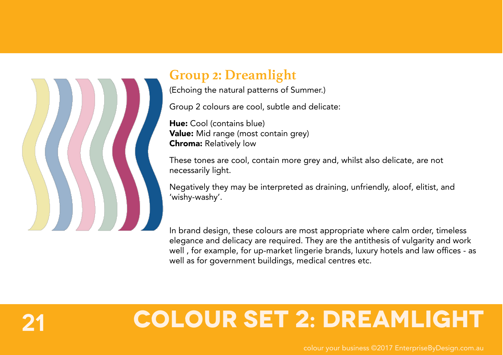

#### **Group 2: Dreamlight**

(Echoing the natural patterns of Summer.)

Group 2 colours are cool, subtle and delicate:

Hue: Cool (contains blue) Value: Mid range (most contain grey) Chroma: Relatively low

These tones are cool, contain more grey and, whilst also delicate, are not necessarily light.

Negatively they may be interpreted as draining, unfriendly, aloof, elitist, and 'wishy-washy'.

In brand design, these colours are most appropriate where calm order, timeless elegance and delicacy are required. They are the antithesis of vulgarity and work well , for example, for up-market lingerie brands, luxury hotels and law offices - as well as for government buildings, medical centres etc.

## **21 Colour Set 2: Dreamlight**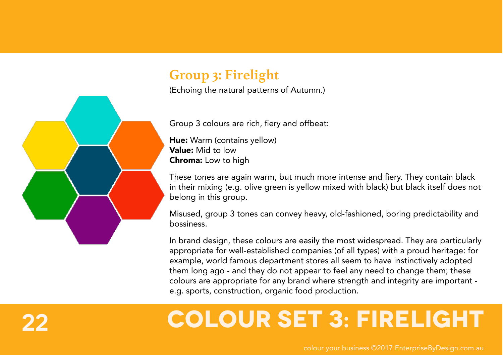### **Group 3: Firelight**

(Echoing the natural patterns of Autumn.)

Group 3 colours are rich, fiery and offbeat:

Hue: Warm (contains yellow) Value: Mid to low Chroma: Low to high

These tones are again warm, but much more intense and fiery. They contain black in their mixing (e.g. olive green is yellow mixed with black) but black itself does not belong in this group.

Misused, group 3 tones can convey heavy, old-fashioned, boring predictability and bossiness.

In brand design, these colours are easily the most widespread. They are particularly appropriate for well-established companies (of all types) with a proud heritage: for example, world famous department stores all seem to have instinctively adopted them long ago - and they do not appear to feel any need to change them; these colours are appropriate for any brand where strength and integrity are important e.g. sports, construction, organic food production.

## **22 Colour Set 3: FIRElight**

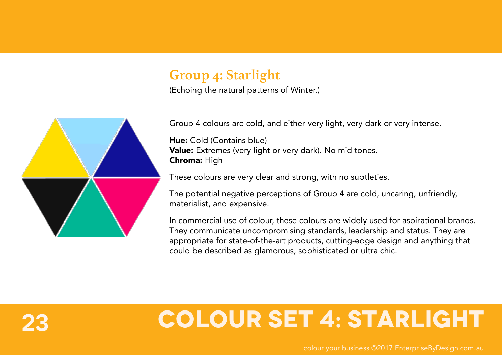#### **Group 4: Starlight**

(Echoing the natural patterns of Winter.)



Group 4 colours are cold, and either very light, very dark or very intense.

Hue: Cold (Contains blue) Value: Extremes (very light or very dark). No mid tones. Chroma: High

These colours are very clear and strong, with no subtleties.

The potential negative perceptions of Group 4 are cold, uncaring, unfriendly, materialist, and expensive.

In commercial use of colour, these colours are widely used for aspirational brands. They communicate uncompromising standards, leadership and status. They are appropriate for state-of-the-art products, cutting-edge design and anything that could be described as glamorous, sophisticated or ultra chic.

## **23 Colour Set 4: STARlight**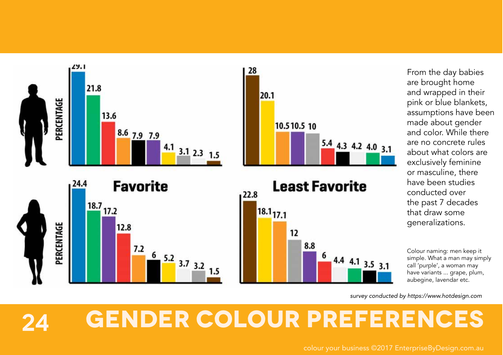





From the day babies are brought home and wrapped in their pink or blue blankets, assumptions have been made about gender and color. While there are no concrete rules about what colors are exclusively feminine or masculine, there have been studies conducted over the past 7 decades that draw some generalizations.

Colour naming: men keep it simple. What a man may simply call 'purple', a woman may have variants ... grape, plum, aubegine, lavendar etc.

*survey conducted by https://www.hotdesign.com*

## **24 GENDER COLOUR PREFERENCES**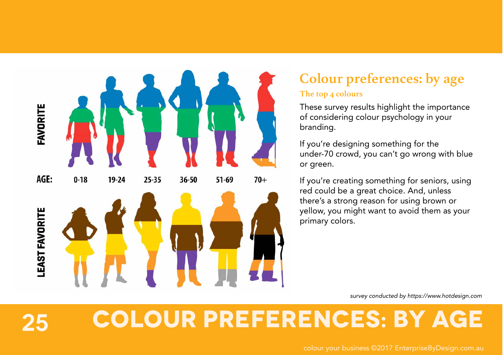

### **Colour preferences: by age**

#### **The top 4 colours**

These survey results highlight the importance of considering colour psychology in your branding.

If you're designing something for the under-70 crowd, you can't go wrong with blue or green.

If you're creating something for seniors, using red could be a great choice. And, unless there's a strong reason for using brown or yellow, you might want to avoid them as your primary colors.

*survey conducted by https://www.hotdesign.com*

# **25 COLOUR PREFERENCES: BY AGE**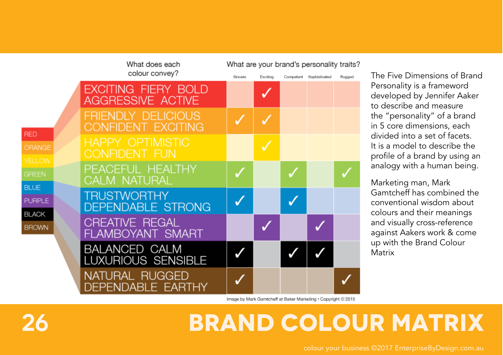|                             | What does each                                         | What are your brand's personality traits? |          |  |                         |        |
|-----------------------------|--------------------------------------------------------|-------------------------------------------|----------|--|-------------------------|--------|
|                             | colour convey?                                         | Sinoare                                   | Exciting |  | Competent Sophisticated | Rugged |
|                             | <b>EXCITING FIERY BOLD</b><br><b>AGGRESSIVE ACTIVE</b> |                                           |          |  |                         |        |
| <b>RED</b>                  | <b>FRIENDLY DELICIOUS</b><br><b>CONFIDENT EXCITING</b> |                                           |          |  |                         |        |
| ORANGE<br><b>YELLOW</b>     | <b>HAPPY OPTIMISTIC</b><br><b>CONFIDENT FUN</b>        |                                           |          |  |                         |        |
| <b>GREEN</b><br><b>BLUE</b> | PEACEFUL HEALTHY<br><b>CALM NATURAL</b>                |                                           |          |  |                         |        |
| <b>PURPLE</b>               | <b>TRUSTWORTHY</b><br><b>DEPENDABLE STRONG</b>         |                                           |          |  |                         |        |
| BLACK<br><b>BROWN</b>       | <b>CREATIVE REGAL</b><br>FLAMBOYANT SMART              |                                           |          |  |                         |        |
|                             | <b>BALANCED CALM</b><br>LUXURIOUS SENSIBLE             |                                           |          |  |                         |        |
|                             | NATURAL RUGGED<br>DEPENDABLE EARTHY                    |                                           |          |  |                         |        |

The Five Dimensions of Brand Personality is a frameword developed by Jennifer Aaker to describe and measure the "personality" of a brand in 5 core dimensions, each divided into a set of facets. It is a model to describe the profile of a brand by using an analogy with a human being.

Marketing man, Mark Gamtcheff has combined the conventional wisdom about colours and their meanings and visually cross-reference against Aakers work & come up with the Brand Colour **Matrix** 

Image by Mark Gamtcheff at Baker Marketing . Copyright @'2015

## **26 Brand colour matrix**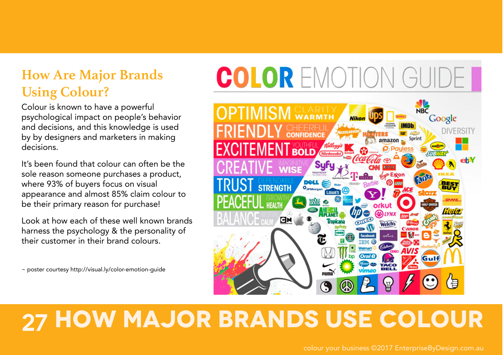#### **How Are Major Brands Using Colour?**

Colour is known to have a powerful psychological impact on people's behavior and decisions, and this knowledge is used by by designers and marketers in making decisions.

It's been found that colour can often be the sole reason someone purchases a product, where 93% of buyers focus on visual appearance and almost 85% claim colour to be their primary reason for purchase!

Look at how each of these well known brands harness the psychology & the personality of their customer in their brand colours.

~ poster courtesy http://visual.ly/color-emotion-guide

# COLOR EMOTION GUIDE



## **27 How Major Brands UsE ColoUr**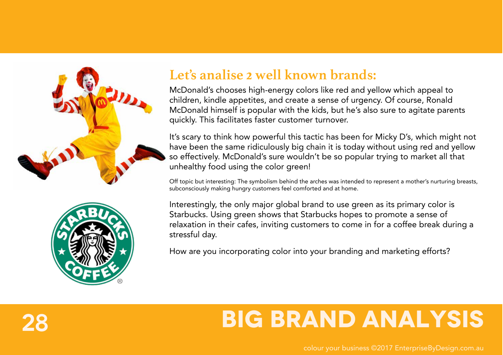



#### **Let's analise 2 well known brands:**

McDonald's chooses high-energy colors like red and yellow which appeal to children, kindle appetites, and create a sense of urgency. Of course, Ronald McDonald himself is popular with the kids, but he's also sure to agitate parents quickly. This facilitates faster customer turnover.

It's scary to think how powerful this tactic has been for Micky D's, which might not have been the same ridiculously big chain it is today without using red and yellow so effectively. McDonald's sure wouldn't be so popular trying to market all that unhealthy food using the color green!

Off topic but interesting: The symbolism behind the arches was intended to represent a mother's nurturing breasts, subconsciously making hungry customers feel comforted and at home.

Interestingly, the only major global brand to use green as its primary color is Starbucks. Using green shows that Starbucks hopes to promote a sense of relaxation in their cafes, inviting customers to come in for a coffee break during a stressful day.

How are you incorporating color into your branding and marketing efforts?

### **28 BIG BRAND ANALYSIS**